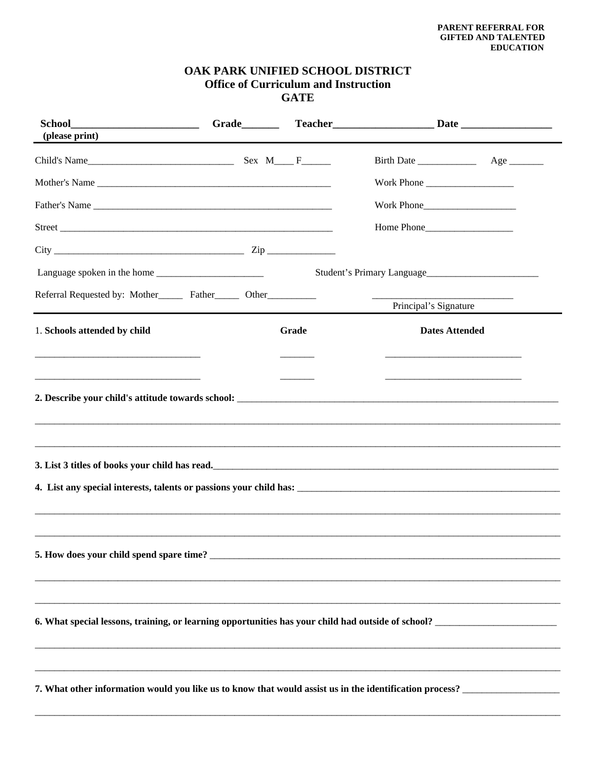## OAK PARK UNIFIED SCHOOL DISTRICT **Office of Curriculum and Instruction GATE**

| <b>School</b><br>(please print)                                                  |       | _______________________Grade____________Teacher_______________________Date _________________________                 |  |
|----------------------------------------------------------------------------------|-------|----------------------------------------------------------------------------------------------------------------------|--|
|                                                                                  |       |                                                                                                                      |  |
| Mother's Name                                                                    |       | Work Phone                                                                                                           |  |
| Father's Name                                                                    |       | Work Phone                                                                                                           |  |
|                                                                                  |       |                                                                                                                      |  |
|                                                                                  |       |                                                                                                                      |  |
|                                                                                  |       | Student's Primary Language                                                                                           |  |
| Referral Requested by: Mother________ Father________ Other______________________ |       | Principal's Signature                                                                                                |  |
| 1. Schools attended by child                                                     | Grade | <b>Dates Attended</b>                                                                                                |  |
|                                                                                  |       | <u> 1989 - Johann John Stone, market fan it ferstjer fan it ferstjer fan it ferstjer fan it ferstjer fan it fers</u> |  |
|                                                                                  |       |                                                                                                                      |  |
| 5. How does your child spend spare time?                                         |       |                                                                                                                      |  |
|                                                                                  |       |                                                                                                                      |  |
|                                                                                  |       |                                                                                                                      |  |
|                                                                                  |       |                                                                                                                      |  |